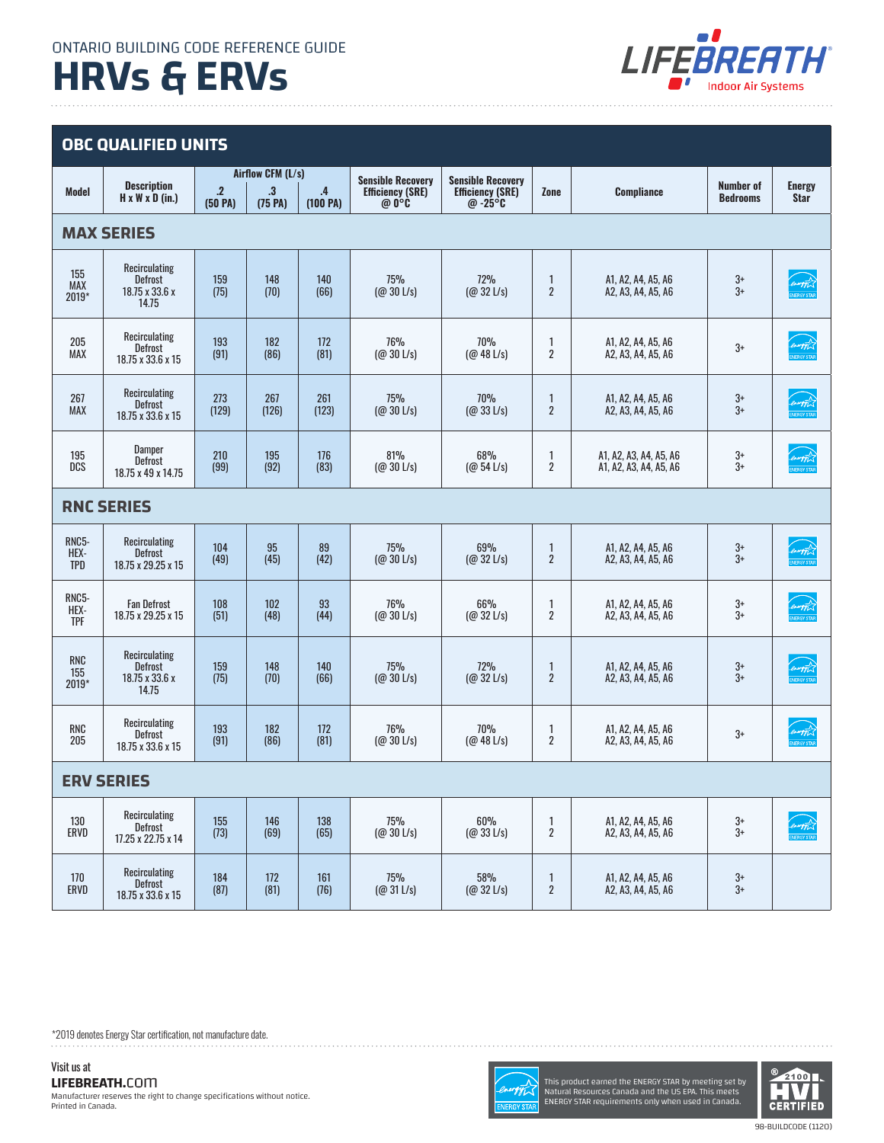# **HRVs & ERVs**



## **OBC QUALIFIED UNITS**

| <b>Model</b>                | <b>Description</b><br>$H \times W \times D$ (in.)          | $\overline{.2}$<br>(50 PA) | Airflow CFM (L/s)<br>$\mathbf{.3}$<br>(75 P <sub>A</sub> ) | $\overline{A}$<br>(100 PA) | <b>Sensible Recovery</b><br><b>Efficiency (SRE)</b><br>@ 0°C | <b>Sensible Recovery</b><br><b>Efficiency (SRE)</b><br>@ $-25^{\circ}$ <b>C</b> | Zone                                    | <b>Compliance</b>                                | <b>Number of</b><br><b>Bedrooms</b> | <b>Energy</b><br><b>Star</b>        |
|-----------------------------|------------------------------------------------------------|----------------------------|------------------------------------------------------------|----------------------------|--------------------------------------------------------------|---------------------------------------------------------------------------------|-----------------------------------------|--------------------------------------------------|-------------------------------------|-------------------------------------|
| <b>MAX SERIES</b>           |                                                            |                            |                                                            |                            |                                                              |                                                                                 |                                         |                                                  |                                     |                                     |
| 155<br><b>MAX</b><br>2019*  | Recirculating<br><b>Defrost</b><br>18.75 x 33.6 x<br>14.75 | 159<br>(75)                | 148<br>(70)                                                | 140<br>(66)                | 75%<br>$(Q_0 30 L/s)$                                        | 72%<br>$(Q \ 32 \ L/s)$                                                         | $\mathbf{1}$<br>$\overline{2}$          | A1, A2, A4, A5, A6<br>A2, A3, A4, A5, A6         | $3+$<br>$3+$                        | <i>ORAFFIC</i>                      |
| 205<br><b>MAX</b>           | Recirculating<br><b>Defrost</b><br>18.75 x 33.6 x 15       | 193<br>(91)                | 182<br>(86)                                                | 172<br>(81)                | 76%<br>$(Q_0 30 L/s)$                                        | 70%<br>(Q0 48 L/s)                                                              | 1<br>$\overline{2}$                     | A1, A2, A4, A5, A6<br>A2, A3, A4, A5, A6         | $3+$                                | <b><i>ONAPTER</i></b>               |
| 267<br><b>MAX</b>           | Recirculating<br><b>Defrost</b><br>18.75 x 33.6 x 15       | 273<br>(129)               | 267<br>(126)                                               | 261<br>(123)               | 75%<br>$(Q_0 30$ L/s)                                        | 70%<br>$(Q_0 33 L/s)$                                                           | 1<br>$\overline{2}$                     | A1, A2, A4, A5, A6<br>A2, A3, A4, A5, A6         | $3+$<br>$3+$                        | <i>Denning A</i><br>ENERGY STAF     |
| 195<br>DCS                  | <b>Damper</b><br><b>Defrost</b><br>18.75 x 49 x 14.75      | 210<br>(99)                | 195<br>(92)                                                | 176<br>(83)                | 81%<br>$(Q_0 30 L/s)$                                        | 68%<br>(Q0 54 L/s)                                                              | 1<br>$\overline{2}$                     | A1, A2, A3, A4, A5, A6<br>A1, A2, A3, A4, A5, A6 | 3+<br>$3+$                          | norgy<br><b>VERGY STA</b>           |
| <b>RNC SERIES</b>           |                                                            |                            |                                                            |                            |                                                              |                                                                                 |                                         |                                                  |                                     |                                     |
| RNC5-<br>HEX-<br><b>TPD</b> | Recirculating<br><b>Defrost</b><br>18.75 x 29.25 x 15      | 104<br>(49)                | 95<br>(45)                                                 | 89<br>(42)                 | 75%<br>$(Q_0 30$ L/s)                                        | 69%<br>$(Q_0 32 L/s)$                                                           | 1<br>$\overline{2}$                     | A1, A2, A4, A5, A6<br>A2, A3, A4, A5, A6         | $3+$<br>$3+$                        | ENLAND STAR                         |
| RNC5-<br>HEX-<br><b>TPF</b> | <b>Fan Defrost</b><br>18.75 x 29.25 x 15                   | 108<br>(51)                | 102<br>(48)                                                | 93<br>(44)                 | 76%<br>$(Q_0 30 L/s)$                                        | 66%<br>$(Q \ 32 \ L/s)$                                                         | 1<br>$\overline{2}$                     | A1, A2, A4, A5, A6<br>A2, A3, A4, A5, A6         | $3+$<br>$3+$                        | nugy                                |
| <b>RNC</b><br>155<br>2019*  | Recirculating<br><b>Defrost</b><br>18.75 x 33.6 x<br>14.75 | 159<br>(75)                | 148<br>(70)                                                | 140<br>(66)                | 75%<br>$(Q_0 30$ L/s)                                        | 72%<br>$(Q_0 32 L/s)$                                                           | 1<br>$\overline{2}$                     | A1, A2, A4, A5, A6<br>A2, A3, A4, A5, A6         | $3+$<br>$3+$                        | energy L                            |
| <b>RNC</b><br>205           | Recirculating<br><b>Defrost</b><br>18.75 x 33.6 x 15       | 193<br>(91)                | 182<br>(86)                                                | 172<br>(81)                | 76%<br>$(Q_0 30$ L/s)                                        | 70%<br>$(Q_0 48 L/s)$                                                           | 1<br>$\overline{2}$                     | A1, A2, A4, A5, A6<br>A2, A3, A4, A5, A6         | $3+$                                | <b><i>Crungy</i></b><br>ENERGY STAF |
| <b>ERV SERIES</b>           |                                                            |                            |                                                            |                            |                                                              |                                                                                 |                                         |                                                  |                                     |                                     |
| 130<br>ERVD                 | Recirculating<br>Defrost<br>17.25 x 22.75 x 14             | 155<br>(73)                | 146<br>(69)                                                | 138<br>(65)                | 75%<br>$(Q_0 30 L/s)$                                        | 60%<br>$(Q_0 33 L/s)$                                                           | 1<br>$\boldsymbol{2}$                   | A1, A2, A4, A5, A6<br>A2, A3, A4, A5, A6         | $3+$<br>$\overline{3}$ +            |                                     |
| 170<br>ERVD                 | Recirculating<br>Defrost<br>18.75 x 33.6 x 15              | 184<br>(87)                | 172<br>(81)                                                | 161<br>(76)                | 75%<br>$(Q_0 31 L/s)$                                        | 58%<br>$(Q \ 32 \ L/s)$                                                         | $\mathbf{1}$<br>$\overline{\mathbf{c}}$ | A1, A2, A4, A5, A6<br>A2, A3, A4, A5, A6         | $3+$<br>$3+$                        |                                     |

\*2019 denotes Energy Star certification, not manufacture date.. . . . . . . . . . . .